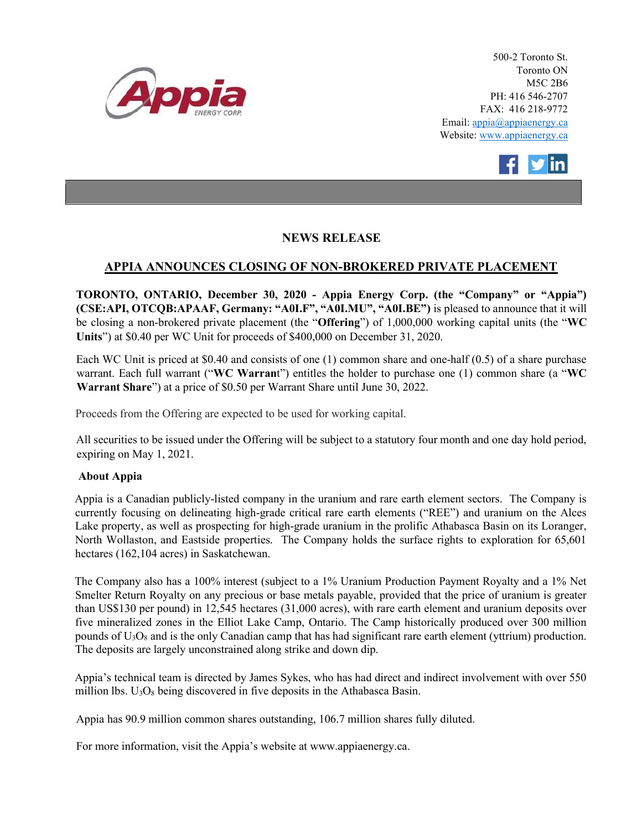

500-2 Toronto St. Toronto ON M5C 2B6 PH: 416 546-2707 FAX: 416 218-9772 Email: appia@appiaenergy.ca Website: www.appiaenergy.ca



## NEWS RELEASE

## APPIA ANNOUNCES CLOSING OF NON-BROKERED PRIVATE PLACEMENT

TORONTO, ONTARIO, December 30, 2020 - Appia Energy Corp. (the "Company" or "Appia") (CSE:API, OTCQB:APAAF, Germany: "A0I.F", "A0I.MU", "A0I.BE") is pleased to announce that it will be closing a non-brokered private placement (the "Offering") of 1,000,000 working capital units (the "WC Units") at \$0.40 per WC Unit for proceeds of \$400,000 on December 31, 2020.

Each WC Unit is priced at \$0.40 and consists of one (1) common share and one-half (0.5) of a share purchase warrant. Each full warrant ("WC Warrant") entitles the holder to purchase one (1) common share (a "WC Warrant Share") at a price of \$0.50 per Warrant Share until June 30, 2022.

Proceeds from the Offering are expected to be used for working capital.

All securities to be issued under the Offering will be subject to a statutory four month and one day hold period, expiring on May 1, 2021.

## About Appia

Appia is a Canadian publicly-listed company in the uranium and rare earth element sectors. The Company is currently focusing on delineating high-grade critical rare earth elements ("REE") and uranium on the Alces Lake property, as well as prospecting for high-grade uranium in the prolific Athabasca Basin on its Loranger, North Wollaston, and Eastside properties. The Company holds the surface rights to exploration for 65,601 hectares (162,104 acres) in Saskatchewan.

The Company also has a 100% interest (subject to a 1% Uranium Production Payment Royalty and a 1% Net Smelter Return Royalty on any precious or base metals payable, provided that the price of uranium is greater than US\$130 per pound) in 12,545 hectares (31,000 acres), with rare earth element and uranium deposits over five mineralized zones in the Elliot Lake Camp, Ontario. The Camp historically produced over 300 million pounds of U3O8 and is the only Canadian camp that has had significant rare earth element (yttrium) production. The deposits are largely unconstrained along strike and down dip.

Appia's technical team is directed by James Sykes, who has had direct and indirect involvement with over 550 million lbs.  $U_3O_8$  being discovered in five deposits in the Athabasca Basin.

Appia has 90.9 million common shares outstanding, 106.7 million shares fully diluted.

For more information, visit the Appia's website at www.appiaenergy.ca.